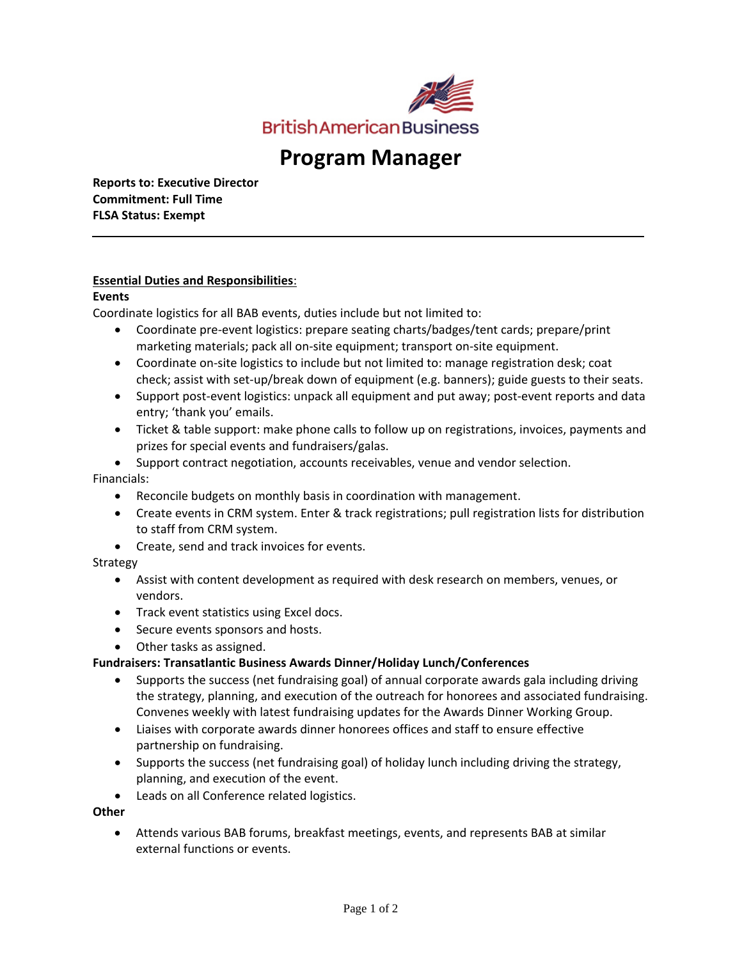

# **Program Manager**

**Reports to: Executive Director Commitment: Full Time FLSA Status: Exempt**

## **Essential Duties and Responsibilities**:

#### **Events**

Coordinate logistics for all BAB events, duties include but not limited to:

- Coordinate pre-event logistics: prepare seating charts/badges/tent cards; prepare/print marketing materials; pack all on-site equipment; transport on-site equipment.
- Coordinate on-site logistics to include but not limited to: manage registration desk; coat check; assist with set-up/break down of equipment (e.g. banners); guide guests to their seats.
- Support post-event logistics: unpack all equipment and put away; post-event reports and data entry; 'thank you' emails.
- Ticket & table support: make phone calls to follow up on registrations, invoices, payments and prizes for special events and fundraisers/galas.
- Support contract negotiation, accounts receivables, venue and vendor selection.

### Financials:

- Reconcile budgets on monthly basis in coordination with management.
- Create events in CRM system. Enter & track registrations; pull registration lists for distribution to staff from CRM system.
- Create, send and track invoices for events.

#### Strategy

- Assist with content development as required with desk research on members, venues, or vendors.
- Track event statistics using Excel docs.
- Secure events sponsors and hosts.
- Other tasks as assigned.

#### **Fundraisers: Transatlantic Business Awards Dinner/Holiday Lunch/Conferences**

- Supports the success (net fundraising goal) of annual corporate awards gala including driving the strategy, planning, and execution of the outreach for honorees and associated fundraising. Convenes weekly with latest fundraising updates for the Awards Dinner Working Group.
- Liaises with corporate awards dinner honorees offices and staff to ensure effective partnership on fundraising.
- Supports the success (net fundraising goal) of holiday lunch including driving the strategy, planning, and execution of the event.
- Leads on all Conference related logistics.

#### **Other**

• Attends various BAB forums, breakfast meetings, events, and represents BAB at similar external functions or events.